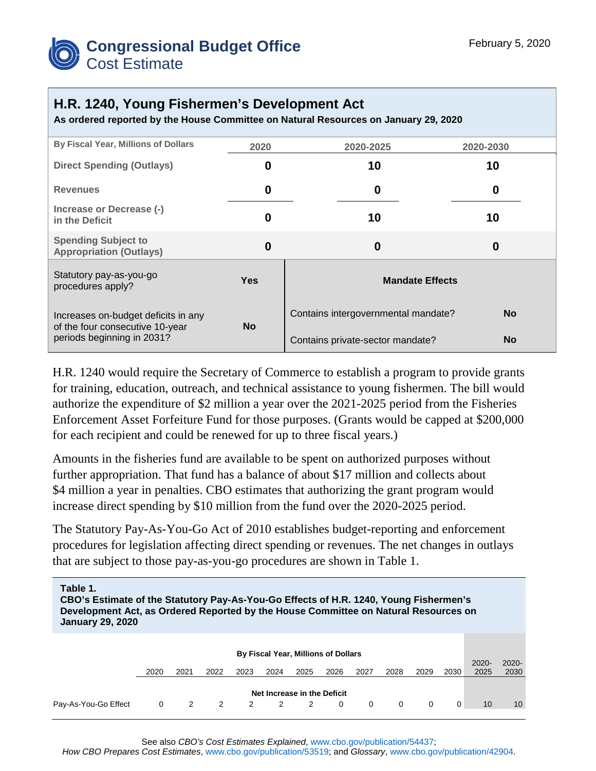

## **H.R. 1240, Young Fishermen's Development Act**

**As ordered reported by the House Committee on Natural Resources on January 29, 2020**

| <b>By Fiscal Year, Millions of Dollars</b>                                                           | 2020             | 2020-2025                           | 2020-2030 |  |  |
|------------------------------------------------------------------------------------------------------|------------------|-------------------------------------|-----------|--|--|
| <b>Direct Spending (Outlays)</b>                                                                     | 0                | 10                                  | 10        |  |  |
| <b>Revenues</b>                                                                                      | $\bf{0}$         | 0                                   | 0         |  |  |
| Increase or Decrease (-)<br>in the Deficit                                                           | 0                | 10                                  | 10        |  |  |
| <b>Spending Subject to</b><br><b>Appropriation (Outlays)</b>                                         | $\boldsymbol{0}$ | 0                                   | $\bf{0}$  |  |  |
| Statutory pay-as-you-go<br>procedures apply?                                                         | <b>Yes</b>       | <b>Mandate Effects</b>              |           |  |  |
| Increases on-budget deficits in any<br>of the four consecutive 10-year<br>periods beginning in 2031? | <b>No</b>        | Contains intergovernmental mandate? | <b>No</b> |  |  |
|                                                                                                      |                  | Contains private-sector mandate?    | <b>No</b> |  |  |

H.R. 1240 would require the Secretary of Commerce to establish a program to provide grants for training, education, outreach, and technical assistance to young fishermen. The bill would authorize the expenditure of \$2 million a year over the 2021-2025 period from the Fisheries Enforcement Asset Forfeiture Fund for those purposes. (Grants would be capped at \$200,000 for each recipient and could be renewed for up to three fiscal years.)

Amounts in the fisheries fund are available to be spent on authorized purposes without further appropriation. That fund has a balance of about \$17 million and collects about \$4 million a year in penalties. CBO estimates that authorizing the grant program would increase direct spending by \$10 million from the fund over the 2020-2025 period.

The Statutory Pay-As-You-Go Act of 2010 establishes budget-reporting and enforcement procedures for legislation affecting direct spending or revenues. The net changes in outlays that are subject to those pay-as-you-go procedures are shown in Table 1.

| Table 1.<br>CBO's Estimate of the Statutory Pay-As-You-Go Effects of H.R. 1240, Young Fishermen's<br>Development Act, as Ordered Reported by the House Committee on Natural Resources on<br><b>January 29, 2020</b> |      |               |      |      |      |      |      |          |          |          |          |                  |                  |
|---------------------------------------------------------------------------------------------------------------------------------------------------------------------------------------------------------------------|------|---------------|------|------|------|------|------|----------|----------|----------|----------|------------------|------------------|
| By Fiscal Year, Millions of Dollars                                                                                                                                                                                 |      |               |      |      |      |      |      |          |          |          |          |                  |                  |
|                                                                                                                                                                                                                     | 2020 | 2021          | 2022 | 2023 | 2024 | 2025 | 2026 | 2027     | 2028     | 2029     | 2030     | $2020 -$<br>2025 | $2020 -$<br>2030 |
| Net Increase in the Deficit                                                                                                                                                                                         |      |               |      |      |      |      |      |          |          |          |          |                  |                  |
| Pay-As-You-Go Effect                                                                                                                                                                                                | 0    | $\mathcal{P}$ | 2    | 2    | 2    | 2    | 0    | $\Omega$ | $\Omega$ | $\Omega$ | $\Omega$ | 10               | 10               |

See also *CBO's Cost Estimates Explained*, [www.cbo.gov/publication/54437;](https://www.cbo.gov/publication/54437)

*How CBO Prepares Cost Estimates*, [www.cbo.gov/publication/53519;](https://www.cbo.gov/publication/53519) and *Glossary*, [www.cbo.gov/publication/42904.](https://www.cbo.gov/publication/42904)